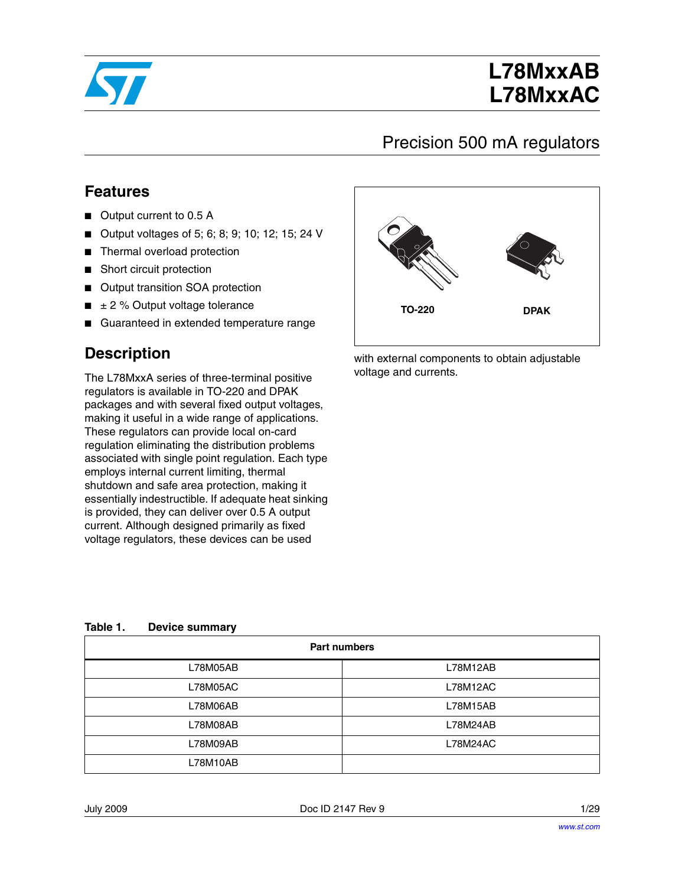

# **L78MxxAB L78MxxAC**

### Precision 500 mA regulators

#### **Features**

- Output current to 0.5 A
- Output voltages of 5; 6; 8; 9; 10; 12; 15; 24 V
- Thermal overload protection
- Short circuit protection
- Output transition SOA protection
- $\blacksquare$   $\pm$  2 % Output voltage tolerance
- Guaranteed in extended temperature range

### **Description**

The L78MxxA series of three-terminal positive regulators is available in TO-220 and DPAK packages and with several fixed output voltages, making it useful in a wide range of applications. These regulators can provide local on-card regulation eliminating the distribution problems associated with single point regulation. Each type employs internal current limiting, thermal shutdown and safe area protection, making it essentially indestructible. If adequate heat sinking is provided, they can deliver over 0.5 A output current. Although designed primarily as fixed voltage regulators, these devices can be used



with external components to obtain adjustable voltage and currents.

| Table 1.<br><b>Device summary</b> |  |
|-----------------------------------|--|
|-----------------------------------|--|

| <b>Part numbers</b> |          |  |  |  |
|---------------------|----------|--|--|--|
| L78M05AB            | L78M12AB |  |  |  |
| L78M05AC            | L78M12AC |  |  |  |
| L78M06AB            | L78M15AB |  |  |  |
| L78M08AB            | L78M24AB |  |  |  |
| L78M09AB            | L78M24AC |  |  |  |
| L78M10AB            |          |  |  |  |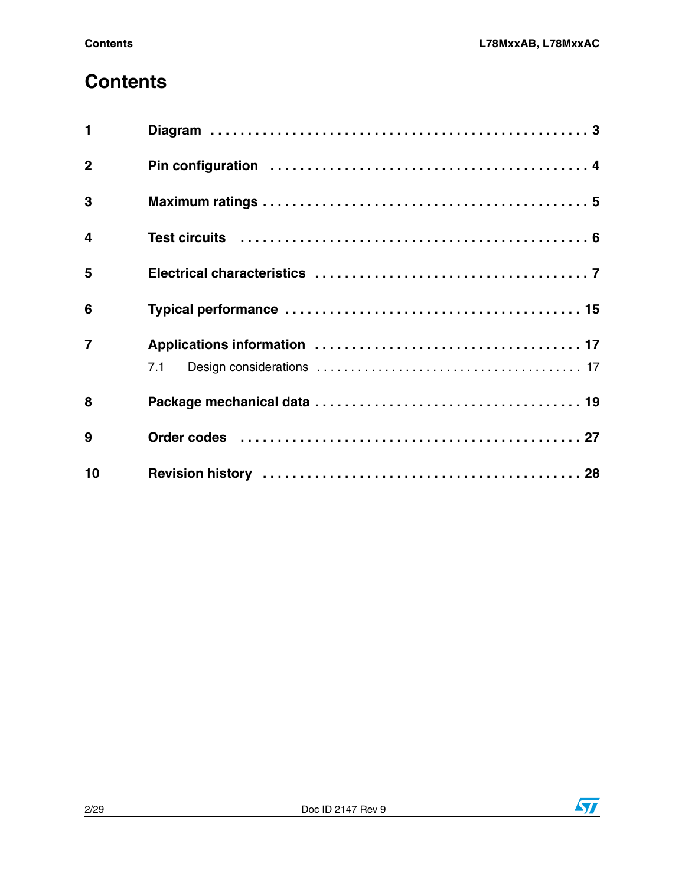# **[Contents](#page-2-0)**

| $\mathbf{1}$     |                                                                                                                |
|------------------|----------------------------------------------------------------------------------------------------------------|
| $\overline{2}$   |                                                                                                                |
| $\mathbf{3}$     |                                                                                                                |
| $\boldsymbol{4}$ |                                                                                                                |
| 5                |                                                                                                                |
| 6                |                                                                                                                |
| $\overline{7}$   |                                                                                                                |
|                  | 7.1                                                                                                            |
| 8                |                                                                                                                |
| 9                | Order codes (and all and all and all and all and all and all and all and all and all and all and all and all a |
| 10               |                                                                                                                |

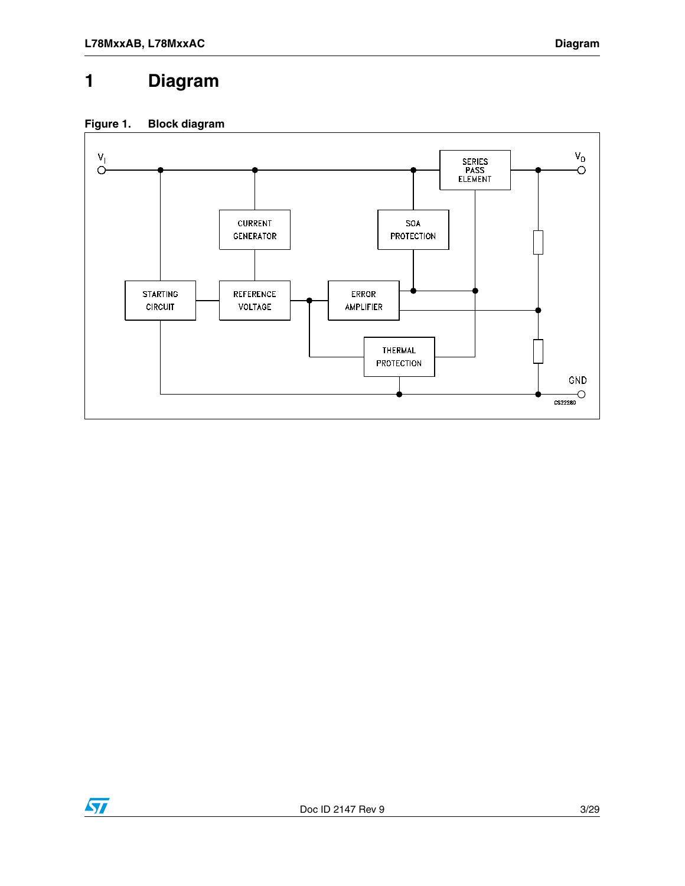### <span id="page-2-0"></span>**1 Diagram**





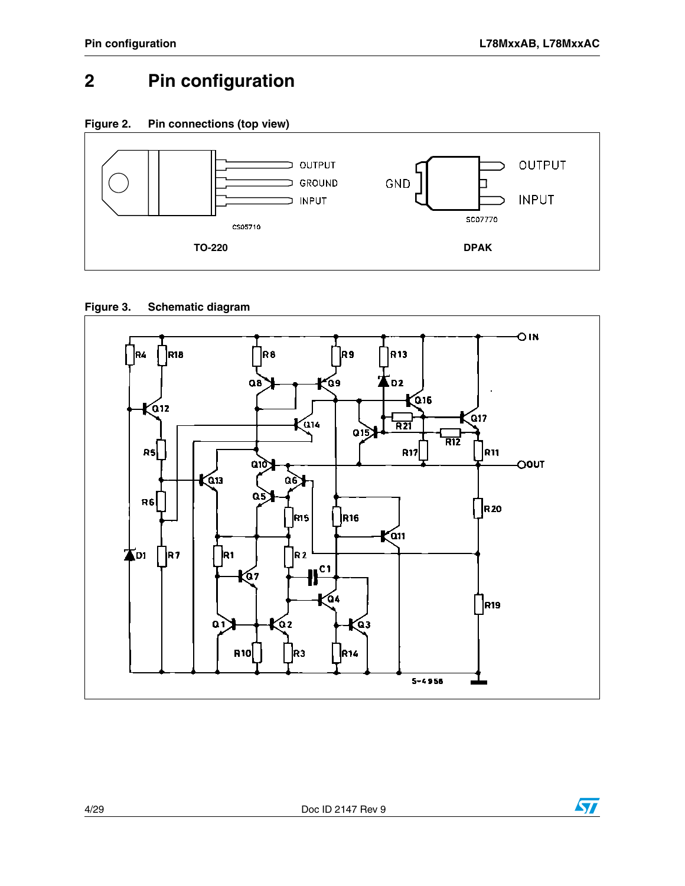## <span id="page-3-0"></span>**2 Pin configuration**

**Figure 2. Pin connections (top view)**



#### **Figure 3. Schematic diagram**





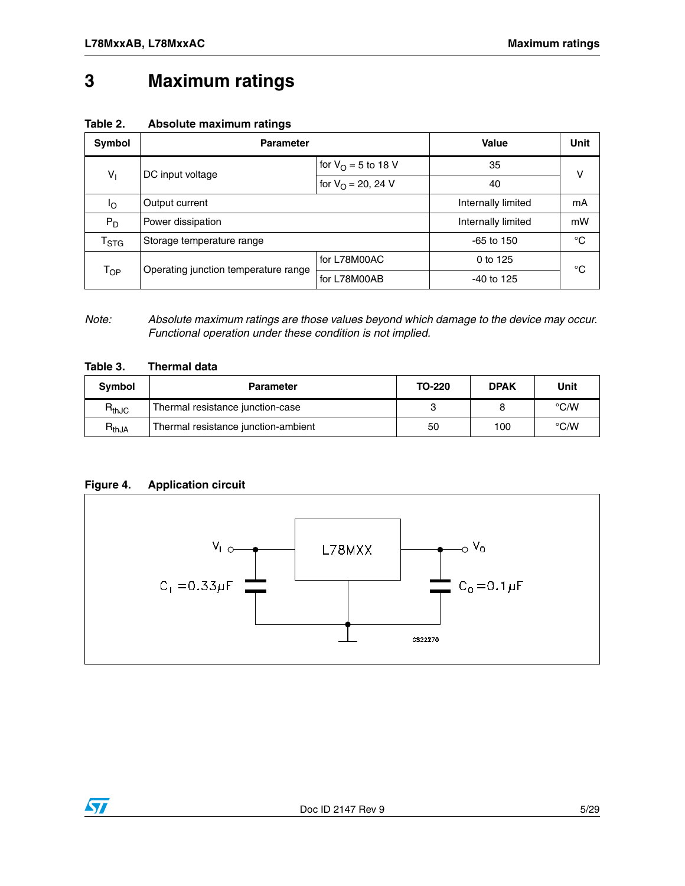### <span id="page-4-0"></span>**3 Maximum ratings**

| Table 2. | Absolute maximum ratings |  |  |
|----------|--------------------------|--|--|
|----------|--------------------------|--|--|

| Symbol                      | <b>Parameter</b>                     | Value                        | Unit               |    |                    |    |
|-----------------------------|--------------------------------------|------------------------------|--------------------|----|--------------------|----|
|                             | DC input voltage                     | for $V_{\Omega} = 5$ to 18 V |                    | v  |                    |    |
| $V_{\parallel}$             |                                      | for $V_{\Omega} = 20$ , 24 V | 40                 |    |                    |    |
| Ιo                          |                                      |                              | Output current     |    | Internally limited | mA |
| $P_D$                       | Power dissipation                    |                              | Internally limited | mW |                    |    |
| $\mathsf{T}_{\textsf{STG}}$ | Storage temperature range            |                              | $-65$ to 150       | °C |                    |    |
|                             |                                      | for L78M00AC                 | 0 to 125           |    |                    |    |
| $T_{OP}$                    | Operating junction temperature range | for L78M00AB                 | $-40$ to 125       | °C |                    |    |

*Note: Absolute maximum ratings are those values beyond which damage to the device may occur. Functional operation under these condition is not implied.*

|  | Table 3. |  | <b>Thermal data</b> |  |
|--|----------|--|---------------------|--|
|--|----------|--|---------------------|--|

| <b>Symbol</b> | <b>Parameter</b>                    | TO-220 | <b>DPAK</b> | <b>Unit</b>   |
|---------------|-------------------------------------|--------|-------------|---------------|
| $R_{thJC}$    | Thermal resistance junction-case    |        |             | $\degree$ C/W |
| $R_{thJA}$    | Thermal resistance junction-ambient | 50     | 100         | $\degree$ C/W |

#### **Figure 4. Application circuit**



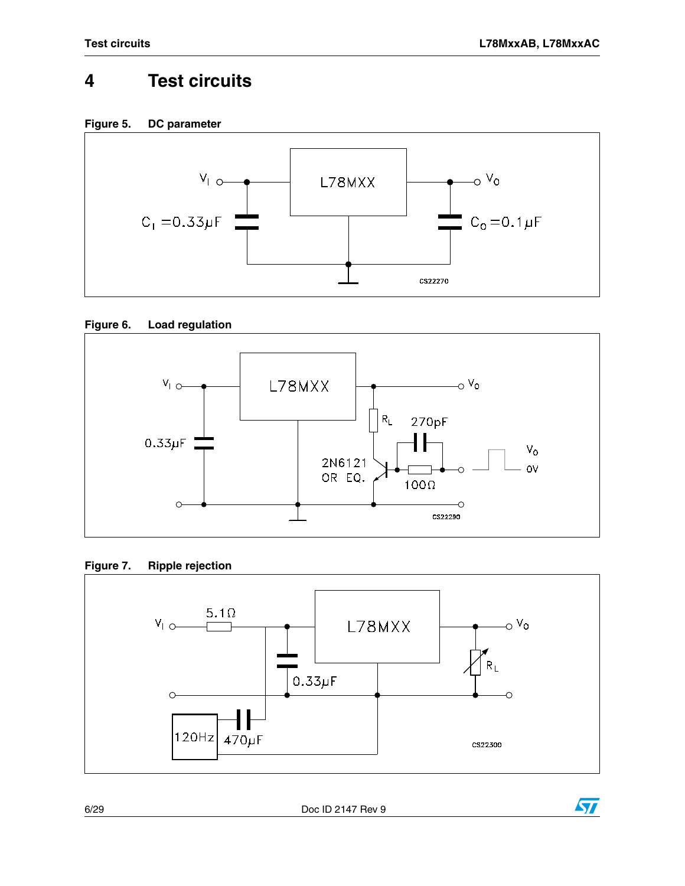# <span id="page-5-0"></span>**4 Test circuits**













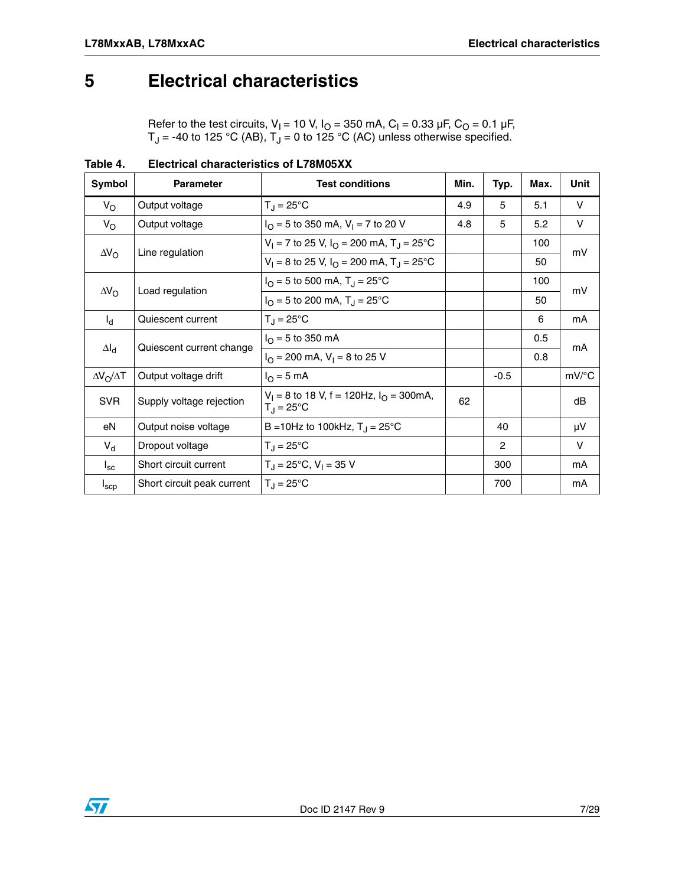### <span id="page-6-0"></span>**5 Electrical characteristics**

Refer to the test circuits,  $V_1$  = 10 V,  $I_0$  = 350 mA, C<sub>I</sub> = 0.33 µF, C<sub>O</sub> = 0.1 µF, T<sub>J</sub> = -40 to 125 °C (AB), T<sub>J</sub> = 0 to 125 °C (AC) unless otherwise specified.

| Symbol                                | <b>Parameter</b>                                                      | <b>Test conditions</b>                                                     | Min. | Typ.           | Max. | <b>Unit</b>         |
|---------------------------------------|-----------------------------------------------------------------------|----------------------------------------------------------------------------|------|----------------|------|---------------------|
| $V_{\rm O}$                           | Output voltage                                                        | $T_{\rm J} = 25^{\circ}$ C                                                 | 4.9  | 5              | 5.1  | V                   |
| $V_{\rm O}$                           | Output voltage                                                        | $IO$ = 5 to 350 mA, V <sub>I</sub> = 7 to 20 V                             | 4.8  | 5              | 5.2  | V                   |
|                                       |                                                                       | $V_1 = 7$ to 25 V, $I_{\Omega} = 200$ mA, $T_{\Omega} = 25^{\circ}$ C      |      |                | 100  | mV                  |
| $\Delta V_{\rm O}$<br>Line regulation | $V_1 = 8$ to 25 V, $I_{\Omega} = 200$ mA, $T_{\Omega} = 25^{\circ}$ C |                                                                            |      | 50             |      |                     |
|                                       |                                                                       | $IO$ = 5 to 500 mA, T <sub>J</sub> = 25°C                                  |      |                | 100  | mV                  |
| $\Delta V_{\rm O}$                    | Load regulation                                                       | $I_{\Omega}$ = 5 to 200 mA, T <sub>J</sub> = 25 °C                         |      |                | 50   |                     |
| $I_{d}$                               | Quiescent current                                                     | $T_{\rm d} = 25^{\circ}$ C                                                 |      |                | 6    | mA                  |
|                                       |                                                                       | $I_{\Omega}$ = 5 to 350 mA                                                 |      |                | 0.5  | mA                  |
|                                       | Quiescent current change<br>$\Delta I_d$                              | $I_{\Omega}$ = 200 mA, V <sub>1</sub> = 8 to 25 V                          |      |                | 0.8  |                     |
| $\Delta V_O / \Delta T$               | Output voltage drift                                                  | $IO = 5 mA$                                                                |      | $-0.5$         |      | $mV$ <sup>o</sup> C |
| <b>SVR</b>                            | Supply voltage rejection                                              | $V_1 = 8$ to 18 V, f = 120Hz, $I_{\Omega} = 300$ mA,<br>$T_{\rm J}$ = 25°C | 62   |                |      | dB                  |
| eN                                    | Output noise voltage                                                  | B = 10Hz to 100kHz, $T_{\rm J}$ = 25°C                                     |      | 40             |      | μV                  |
| $V_{d}$                               | Dropout voltage                                                       | $T_{\rm J}$ = 25°C                                                         |      | $\overline{2}$ |      | V                   |
| $I_{\rm sc}$                          | Short circuit current                                                 | $T_{\rm J}$ = 25°C, V <sub>1</sub> = 35 V                                  |      | 300            |      | mA                  |
| $I_{\text{SCP}}$                      | Short circuit peak current                                            | $T_{\rm d} = 25^{\circ}$ C                                                 |      | 700            |      | mA                  |

**Table 4. Electrical characteristics of L78M05XX**

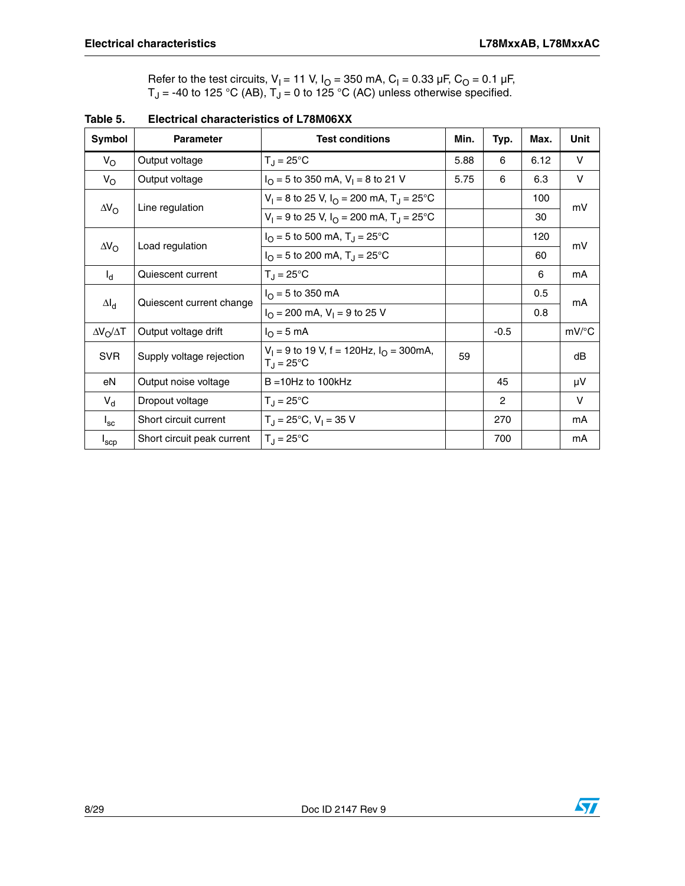Refer to the test circuits,  $V_1 = 11$  V,  $I_0 = 350$  mA,  $C_1 = 0.33$  µF,  $C_0 = 0.1$  µF,  $T_J$  = -40 to 125 °C (AB),  $T_J$  = 0 to 125 °C (AC) unless otherwise specified.

| Symbol                                | <b>Parameter</b>                                 | <b>Test conditions</b>                                                     | Min. | Typ.           | Max. | Unit                |
|---------------------------------------|--------------------------------------------------|----------------------------------------------------------------------------|------|----------------|------|---------------------|
| $V_{\rm O}$                           | Output voltage                                   | $T_{\rm J}$ = 25°C                                                         | 5.88 | 6              | 6.12 | V                   |
| $V_{\rm O}$                           | Output voltage                                   | $I_{\Omega}$ = 5 to 350 mA, V <sub>1</sub> = 8 to 21 V                     | 5.75 | 6              | 6.3  | V                   |
|                                       |                                                  | $V_1 = 8$ to 25 V, $I_0 = 200$ mA, $T_J = 25$ °C                           |      |                | 100  | mV                  |
| $\Delta V_{\rm O}$<br>Line regulation | $V_1 = 9$ to 25 V, $I_0 = 200$ mA, $T_1 = 25$ °C |                                                                            |      | 30             |      |                     |
|                                       |                                                  | $I_{\rm O}$ = 5 to 500 mA, T <sub>J</sub> = 25 °C                          |      |                | 120  | mV                  |
| $\Delta V_{\rm O}$                    | Load regulation                                  | $I_{\Omega}$ = 5 to 200 mA, T <sub>J</sub> = 25 °C                         |      |                | 60   |                     |
| $I_d$                                 | Quiescent current                                | $T_J = 25^{\circ}C$                                                        |      |                | 6    | mA                  |
| $\Delta I_d$                          | Quiescent current change                         | $I_{\Omega}$ = 5 to 350 mA                                                 |      |                | 0.5  | mA                  |
|                                       |                                                  | $I_{\Omega}$ = 200 mA, V <sub>1</sub> = 9 to 25 V                          |      |                | 0.8  |                     |
| $\Delta V_O / \Delta T$               | Output voltage drift                             | $IO = 5 mA$                                                                |      | $-0.5$         |      | $mV$ <sup>o</sup> C |
| <b>SVR</b>                            | Supply voltage rejection                         | $V_1 = 9$ to 19 V, f = 120Hz, $I_{\Omega} = 300$ mA,<br>$T_{\rm J}$ = 25°C | 59   |                |      | dB                  |
| eN                                    | Output noise voltage                             | $B = 10$ Hz to 100kHz                                                      |      | 45             |      | μV                  |
| $V_{d}$                               | Dropout voltage                                  | $T_{\rm J}$ = 25°C                                                         |      | $\overline{2}$ |      | V                   |
| $I_{\rm sc}$                          | Short circuit current                            | $T_{\rm J}$ = 25°C, V <sub>1</sub> = 35 V                                  |      | 270            |      | mA                  |
| $I_{\rm{SCP}}$                        | Short circuit peak current                       | $T_{\rm d} = 25^{\circ}$ C                                                 |      | 700            |      | mA                  |

**Table 5. Electrical characteristics of L78M06XX** 

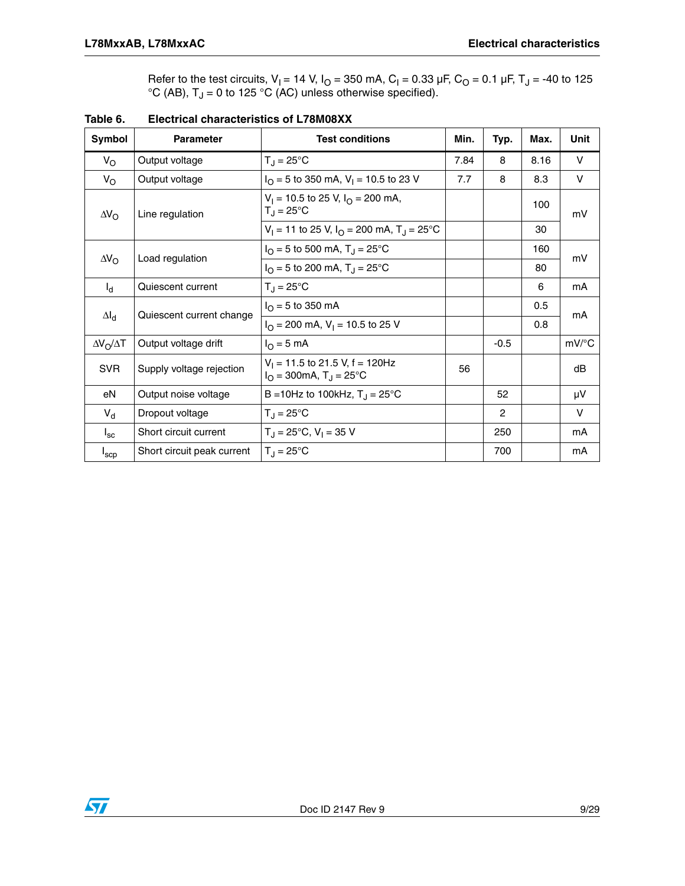Refer to the test circuits,  $V_1 = 14$  V,  $I_0 = 350$  mA,  $C_1 = 0.33$  µF,  $C_0 = 0.1$  µF,  $T_J = -40$  to 125 °C (AB),  $T_J$  = 0 to 125 °C (AC) unless otherwise specified).

| Symbol                  | <b>Parameter</b>           | <b>Test conditions</b>                                                           | Min. | Typ.          | Max. | Unit                |
|-------------------------|----------------------------|----------------------------------------------------------------------------------|------|---------------|------|---------------------|
| $V_{\rm O}$             | Output voltage             | $T_{\rm J} = 25^{\circ}$ C                                                       | 7.84 | 8             | 8.16 | V                   |
| $V_{\rm O}$             | Output voltage             | $IO$ = 5 to 350 mA, V <sub>1</sub> = 10.5 to 23 V                                | 7.7  | 8             | 8.3  | V                   |
| $\Delta V_{\rm O}$      | Line regulation            | $V_1$ = 10.5 to 25 V, $I_{\Omega}$ = 200 mA,<br>$T_{\rm J}$ = 25°C               |      |               | 100  | mV                  |
|                         |                            | $V_1 = 11$ to 25 V, $I_{\Omega} = 200$ mA, T <sub>J</sub> = 25 <sup>o</sup> C    |      |               | 30   |                     |
|                         | Load regulation            | $I_{\rm O}$ = 5 to 500 mA, T <sub>J</sub> = 25 °C                                |      |               | 160  | mV                  |
| $\Delta V_{\rm O}$      |                            | $I_{\rm O}$ = 5 to 200 mA, T <sub>J</sub> = 25 °C                                |      |               | 80   |                     |
| $I_{d}$                 | Quiescent current          | $T_{\text{d}}$ = 25°C                                                            |      |               | 6    | mA                  |
|                         | Quiescent current change   | $I_{\Omega}$ = 5 to 350 mA                                                       |      |               | 0.5  | mA                  |
| $\Delta I_d$            |                            | $I_{\Omega}$ = 200 mA, V <sub>1</sub> = 10.5 to 25 V                             |      |               | 0.8  |                     |
| $\Delta V_O / \Delta T$ | Output voltage drift       | $I_{\Omega}$ = 5 mA                                                              |      | $-0.5$        |      | $mV$ <sup>o</sup> C |
| <b>SVR</b>              | Supply voltage rejection   | $V_1 = 11.5$ to 21.5 V, f = 120Hz<br>$I_{\Omega}$ = 300mA, T <sub>J</sub> = 25°C | 56   |               |      | dB                  |
| eN                      | Output noise voltage       | B = 10Hz to 100kHz, $T_{\rm J}$ = 25°C                                           |      | 52            |      | μV                  |
| $V_{d}$                 | Dropout voltage            | $T_{\text{d}}$ = 25°C                                                            |      | $\mathcal{P}$ |      | V                   |
| $I_{\rm sc}$            | Short circuit current      | $T_{\text{H}}$ = 25°C, V <sub>1</sub> = 35 V                                     |      | 250           |      | mA                  |
| $I_{\text{SCD}}$        | Short circuit peak current | $T_{\text{J}} = 25^{\circ}C$                                                     |      | 700           |      | mA                  |

**Table 6. Electrical characteristics of L78M08XX**

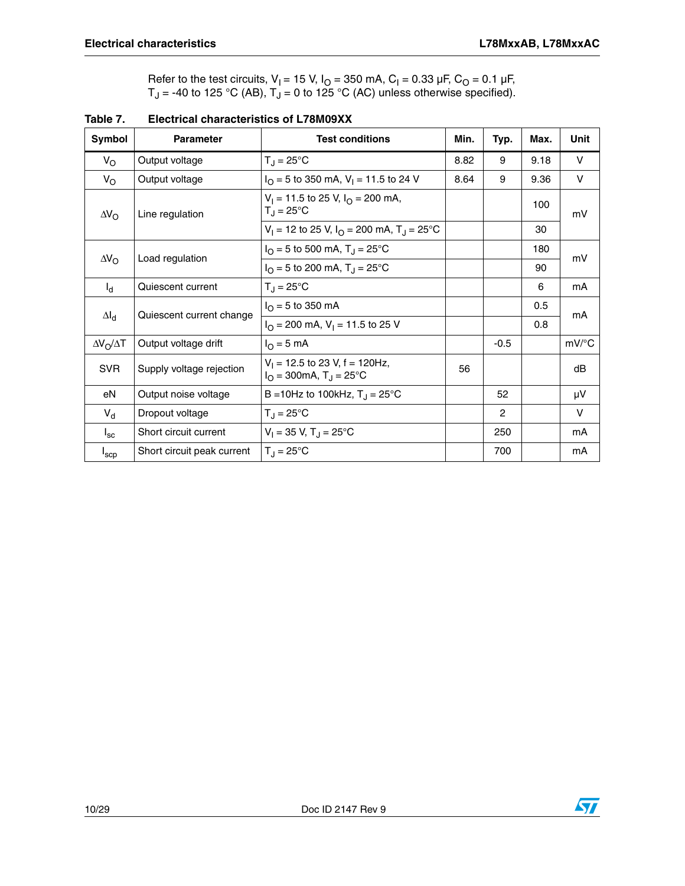Refer to the test circuits,  $V_1 = 15$  V,  $I_0 = 350$  mA,  $C_1 = 0.33$  µF,  $C_0 = 0.1$  µF,  $T_J$  = -40 to 125 °C (AB),  $T_J$  = 0 to 125 °C (AC) unless otherwise specified).

| Symbol                  | <b>Parameter</b>           | <b>Test conditions</b>                                                          | Min. | Typ.          | Max. | Unit                |
|-------------------------|----------------------------|---------------------------------------------------------------------------------|------|---------------|------|---------------------|
| $V_{\rm O}$             | Output voltage             | $T_J = 25^{\circ}C$                                                             | 8.82 | 9             | 9.18 | V                   |
| $V_{\rm O}$             | Output voltage             | $IO$ = 5 to 350 mA, V <sub>1</sub> = 11.5 to 24 V                               | 8.64 | 9             | 9.36 | V                   |
| $\Delta V_{\rm O}$      | Line regulation            | $V_1 = 11.5$ to 25 V, $I_{\Omega} = 200$ mA,<br>$T_J = 25^{\circ}C$             |      |               | 100  | mV                  |
|                         |                            | $V_1 = 12$ to 25 V, $I_{\Omega} = 200$ mA, T <sub>J</sub> = 25 <sup>o</sup> C   |      |               | 30   |                     |
|                         |                            | $I_{\Omega}$ = 5 to 500 mA, T <sub>J</sub> = 25°C                               |      |               | 180  | mV                  |
| $\Delta V_{\rm O}$      | Load regulation            | $I_{\Omega}$ = 5 to 200 mA, T <sub>J</sub> = 25°C                               |      |               | 90   |                     |
| $I_{d}$                 | Quiescent current          | $T_{\text{d}}$ = 25°C                                                           |      |               | 6    | mA                  |
|                         | Quiescent current change   | $I_{\Omega}$ = 5 to 350 mA                                                      |      |               | 0.5  | mA                  |
| $\Delta I_d$            |                            | $I_{\Omega}$ = 200 mA, V <sub>1</sub> = 11.5 to 25 V                            |      |               | 0.8  |                     |
| $\Delta V_O / \Delta T$ | Output voltage drift       | $I_{\Omega}$ = 5 mA                                                             |      | $-0.5$        |      | $mV$ <sup>o</sup> C |
| <b>SVR</b>              | Supply voltage rejection   | $V_1$ = 12.5 to 23 V, f = 120Hz,<br>$I_{\Omega}$ = 300mA, T <sub>J</sub> = 25°C | 56   |               |      | dB                  |
| eN                      | Output noise voltage       | B = 10Hz to 100kHz, $T_J = 25^{\circ}C$                                         |      | 52            |      | μV                  |
| $V_{d}$                 | Dropout voltage            | $T_{\text{J}} = 25^{\circ}C$                                                    |      | $\mathcal{P}$ |      | V                   |
| $I_{\rm sc}$            | Short circuit current      | $V_1 = 35$ V, T <sub>J</sub> = 25 <sup>°</sup> C                                |      | 250           |      | mA                  |
| $I_{\sf sep}$           | Short circuit peak current | $T_{\rm d}$ = 25°C                                                              |      | 700           |      | mA                  |

**Table 7. Electrical characteristics of L78M09XX**

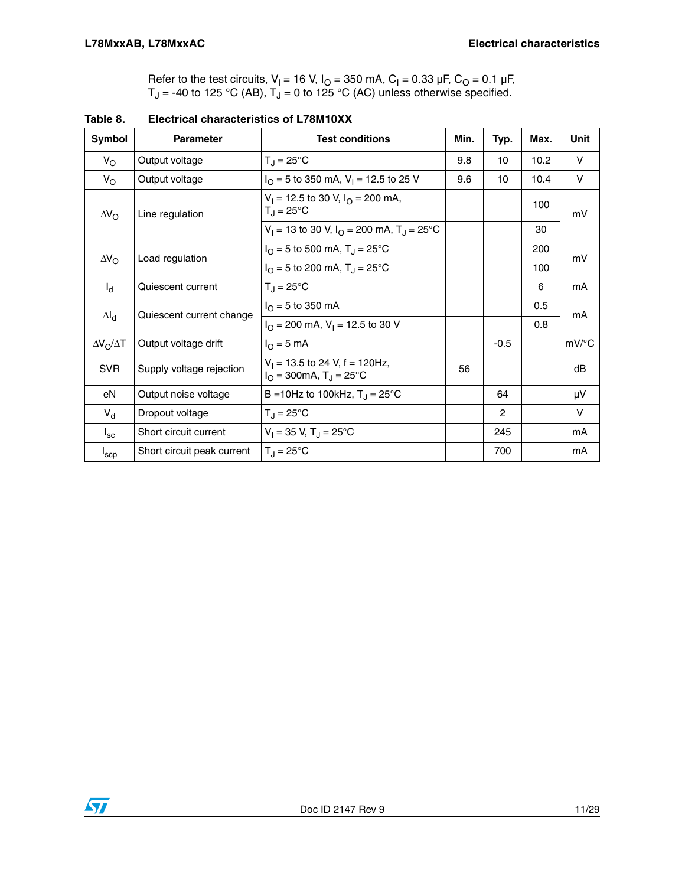Refer to the test circuits,  $V_1 = 16$  V,  $I_0 = 350$  mA,  $C_1 = 0.33$  µF,  $C_0 = 0.1$  µF,  $T_J$  = -40 to 125 °C (AB),  $T_J$  = 0 to 125 °C (AC) unless otherwise specified.

| Symbol                  | <b>Parameter</b>           | <b>Test conditions</b>                                                                               | Min. | Typ.          | Max. | Unit                |
|-------------------------|----------------------------|------------------------------------------------------------------------------------------------------|------|---------------|------|---------------------|
| $V_{\rm O}$             | Output voltage             | $T_J = 25^{\circ}C$                                                                                  | 9.8  | 10            | 10.2 | V                   |
| $V_{\rm O}$             | Output voltage             | $I_{\Omega}$ = 5 to 350 mA, V <sub>1</sub> = 12.5 to 25 V                                            | 9.6  | 10            | 10.4 | V                   |
| $\Delta V_{\rm O}$      | Line regulation            | $V_1$ = 12.5 to 30 V, $I_{\Omega}$ = 200 mA,<br>$T_{\rm J}$ = 25°C                                   |      |               | 100  | mV                  |
|                         |                            | $V_1 = 13$ to 30 V, $I_0 = 200$ mA, T <sub>J</sub> = 25 <sup>o</sup> C                               |      |               | 30   |                     |
|                         | Load regulation            | $I_{\rm O}$ = 5 to 500 mA, T <sub>J</sub> = 25 °C                                                    |      |               | 200  | mV                  |
| $\Delta V_{\rm O}$      |                            | $IO$ = 5 to 200 mA, T <sub>J</sub> = 25°C                                                            |      |               | 100  |                     |
| $I_{d}$                 | Quiescent current          | $T_{\rm J}$ = 25°C                                                                                   |      |               | 6    | mA                  |
|                         |                            | $I_{\Omega}$ = 5 to 350 mA                                                                           |      |               | 0.5  | mA                  |
| $\Delta I_d$            | Quiescent current change   | $I_{\Omega}$ = 200 mA, V <sub>1</sub> = 12.5 to 30 V                                                 |      |               | 0.8  |                     |
| $\Delta V_O / \Delta T$ | Output voltage drift       | $IO = 5 mA$                                                                                          |      | $-0.5$        |      | $mV$ <sup>o</sup> C |
| <b>SVR</b>              | Supply voltage rejection   | $V_1$ = 13.5 to 24 V, f = 120Hz,<br>$I_{\Omega} = 300 \text{mA}, T_{\text{J}} = 25^{\circ} \text{C}$ | 56   |               |      | dB                  |
| eN                      | Output noise voltage       | B = 10Hz to 100kHz, $T_{\rm J}$ = 25°C                                                               |      | 64            |      | μV                  |
| $V_{d}$                 | Dropout voltage            | $T_{\text{d}} = 25^{\circ}C$                                                                         |      | $\mathcal{P}$ |      | $\vee$              |
| $I_{\rm sc}$            | Short circuit current      | $V_1 = 35$ V, T <sub>J</sub> = 25°C                                                                  |      | 245           |      | mA                  |
| $I_{\rm{SCP}}$          | Short circuit peak current | $T_{\text{d}}$ = 25°C                                                                                |      | 700           |      | mA                  |

**Table 8. Electrical characteristics of L78M10XX**

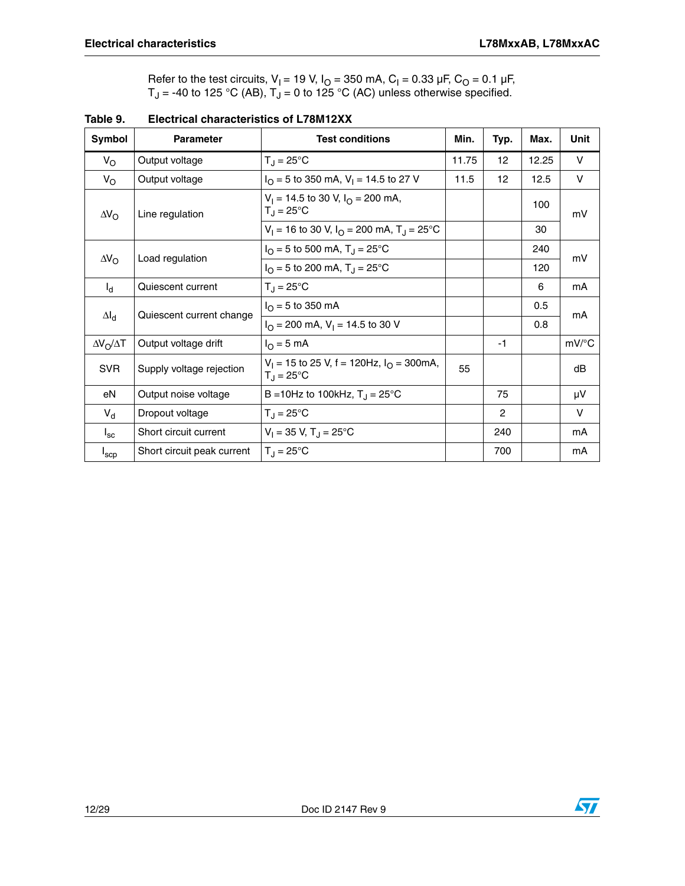Refer to the test circuits,  $V_1 = 19$  V,  $I_0 = 350$  mA,  $C_1 = 0.33$  µF,  $C_0 = 0.1$  µF,  $T_J$  = -40 to 125 °C (AB),  $T_J$  = 0 to 125 °C (AC) unless otherwise specified.

| Symbol                  | <b>Parameter</b>           | <b>Test conditions</b>                                                              | Min.  | Typ.           | Max.  | Unit         |
|-------------------------|----------------------------|-------------------------------------------------------------------------------------|-------|----------------|-------|--------------|
| $V_{\rm O}$             | Output voltage             | $T_J = 25^{\circ}C$                                                                 | 11.75 | 12             | 12.25 | V            |
| $V_{\rm O}$             | Output voltage             | $I_{\Omega}$ = 5 to 350 mA, V <sub>1</sub> = 14.5 to 27 V                           | 11.5  | 12             | 12.5  | V            |
| $\Delta V_{\rm O}$      | Line regulation            | $V_1 = 14.5$ to 30 V, $I_{\Omega} = 200$ mA,<br>$T_J = 25^{\circ}C$                 |       |                | 100   | mV           |
|                         |                            | $V_1 = 16$ to 30 V, $I_Q = 200$ mA, $T_A = 25$ °C                                   |       |                | 30    |              |
|                         |                            | $I_{\rm O}$ = 5 to 500 mA, T <sub>J</sub> = 25 °C                                   |       |                | 240   | mV           |
| $\Delta V_{\rm O}$      | Load regulation            | $I_{\Omega}$ = 5 to 200 mA, T <sub>J</sub> = 25°C                                   |       |                | 120   |              |
| $I_{d}$                 | Quiescent current          | $T_{\text{d}}$ = 25°C                                                               |       |                | 6     | mA           |
|                         | Quiescent current change   | $I_{\Omega}$ = 5 to 350 mA                                                          |       |                | 0.5   | mA           |
| $\Delta I_d$            |                            | $I_{\Omega}$ = 200 mA, V <sub>1</sub> = 14.5 to 30 V                                |       |                | 0.8   |              |
| $\Delta V_O / \Delta T$ | Output voltage drift       | $I_{\Omega}$ = 5 mA                                                                 |       | -1             |       | mV/°C        |
| <b>SVR</b>              | Supply voltage rejection   | $V_1 = 15$ to 25 V, f = 120Hz, $I_{\Omega} = 300$ mA,<br>$T_{\rm d} = 25^{\circ}$ C | 55    |                |       | dB           |
| eN                      | Output noise voltage       | B = 10Hz to 100kHz, $T_J = 25^{\circ}C$                                             |       | 75             |       | μV           |
| $V_{d}$                 | Dropout voltage            | $T_{\rm J} = 25^{\circ}$ C                                                          |       | $\overline{2}$ |       | $\mathsf{V}$ |
| $I_{\rm sc}$            | Short circuit current      | $V_1 = 35$ V, T <sub>J</sub> = 25 <sup>°</sup> C                                    |       | 240            |       | mA           |
| $I_{\sf sep}$           | Short circuit peak current | $T_{\rm J} = 25^{\circ}$ C                                                          |       | 700            |       | mA           |

**Table 9. Electrical characteristics of L78M12XX**

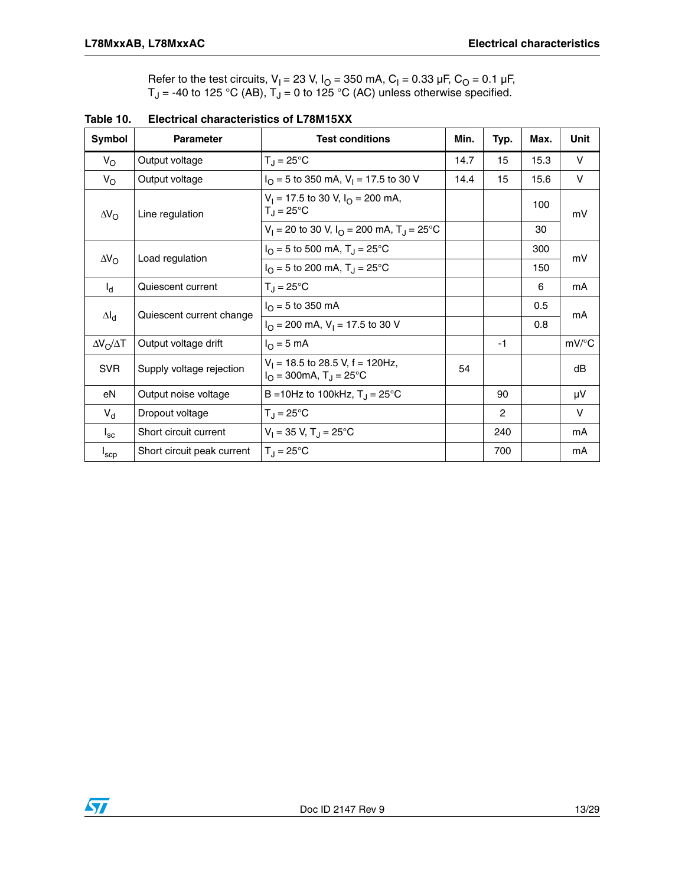Refer to the test circuits,  $V_1 = 23$  V,  $I_0 = 350$  mA,  $C_1 = 0.33$  µF,  $C_0 = 0.1$  µF,  $T_J$  = -40 to 125 °C (AB),  $T_J$  = 0 to 125 °C (AC) unless otherwise specified.

| Symbol                  | <b>Parameter</b>           | <b>Test conditions</b>                                                            | Min. | Typ.           | Max. | Unit                |
|-------------------------|----------------------------|-----------------------------------------------------------------------------------|------|----------------|------|---------------------|
| $V_{\rm O}$             | Output voltage             | $T_J = 25^{\circ}C$                                                               | 14.7 | 15             | 15.3 | V                   |
| $V_{\rm O}$             | Output voltage             | $I_{\Omega}$ = 5 to 350 mA, V <sub>1</sub> = 17.5 to 30 V                         | 14.4 | 15             | 15.6 | V                   |
| $\Delta V_{\rm O}$      | Line regulation            | $V_1 = 17.5$ to 30 V, $I_{\Omega} = 200$ mA,<br>$T_{\rm J}$ = 25°C                |      |                | 100  | mV                  |
|                         |                            | $V_1 = 20$ to 30 V, $I_0 = 200$ mA, $T_1 = 25$ °C                                 |      |                | 30   |                     |
|                         |                            | $I_{\rm O}$ = 5 to 500 mA, T <sub>J</sub> = 25 °C                                 |      |                | 300  | mV                  |
| $\Delta V_{\rm O}$      | Load regulation            | $IO$ = 5 to 200 mA, T <sub>J</sub> = 25°C                                         |      |                | 150  |                     |
| $I_{d}$                 | Quiescent current          | $T_J = 25^{\circ}C$                                                               |      |                | 6    | mA                  |
|                         |                            | $I_{\Omega}$ = 5 to 350 mA                                                        |      |                | 0.5  | mA                  |
| $\Delta I_d$            | Quiescent current change   | $I_{\Omega}$ = 200 mA, V <sub>1</sub> = 17.5 to 30 V                              |      |                | 0.8  |                     |
| $\Delta V_O / \Delta T$ | Output voltage drift       | $IO = 5 mA$                                                                       |      | -1             |      | $mV$ <sup>o</sup> C |
| <b>SVR</b>              | Supply voltage rejection   | $V_1$ = 18.5 to 28.5 V, f = 120Hz,<br>$I_{\Omega}$ = 300mA, T <sub>J</sub> = 25°C | 54   |                |      | dB                  |
| eN                      | Output noise voltage       | B = 10Hz to 100kHz, $T_{\rm J}$ = 25°C                                            |      | 90             |      | μV                  |
| $V_{d}$                 | Dropout voltage            | $T_{\text{d}}$ = 25°C                                                             |      | $\overline{c}$ |      | $\vee$              |
| $I_{\rm sc}$            | Short circuit current      | $V_1 = 35$ V, T <sub>J</sub> = 25 <sup>o</sup> C                                  |      | 240            |      | mA                  |
| $I_{\rm{SCP}}$          | Short circuit peak current | $T_{\rm d} = 25^{\circ}$ C                                                        |      | 700            |      | mA                  |

**Table 10. Electrical characteristics of L78M15XX**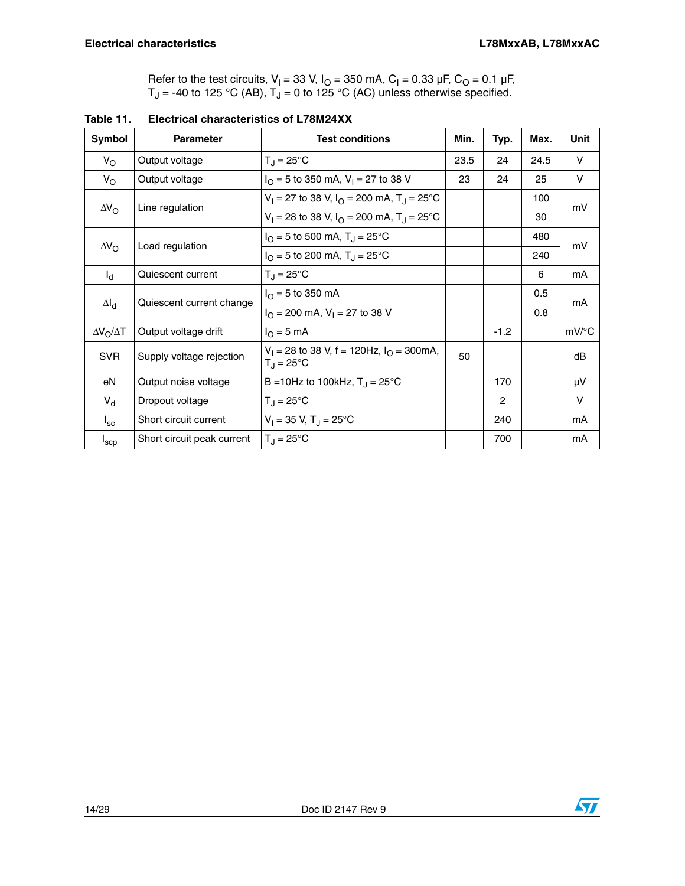Refer to the test circuits,  $V_1 = 33$  V,  $I_0 = 350$  mA,  $C_1 = 0.33$  µF,  $C_0 = 0.1$  µF,  $T_J$  = -40 to 125 °C (AB),  $T_J$  = 0 to 125 °C (AC) unless otherwise specified.

| Symbol                  | <b>Parameter</b>           | <b>Test conditions</b>                                                              | Min. | Typ.           | Max. | Unit                |
|-------------------------|----------------------------|-------------------------------------------------------------------------------------|------|----------------|------|---------------------|
| $V_{\rm O}$             | Output voltage             | $T_{\rm J}$ = 25°C                                                                  | 23.5 | 24             | 24.5 | V                   |
| $V_{\rm O}$             | Output voltage             | $I_{\Omega}$ = 5 to 350 mA, V <sub>1</sub> = 27 to 38 V                             | 23   | 24             | 25   | V                   |
|                         |                            | $V_1 = 27$ to 38 V, $I_{\Omega} = 200$ mA, $T_{\Omega} = 25^{\circ}$ C              |      |                | 100  | mV                  |
| $\Delta V_{\rm O}$      | Line regulation            | $V_1 = 28$ to 38 V, $I_{\Omega} = 200$ mA, $T_{\Omega} = 25^{\circ}$ C              |      |                | 30   |                     |
|                         |                            | $I_{\Omega}$ = 5 to 500 mA, T <sub>J</sub> = 25 °C                                  |      |                | 480  | mV                  |
| $\Delta V_{\rm O}$      | Load regulation            | $I_{\Omega}$ = 5 to 200 mA, T <sub>J</sub> = 25 °C                                  |      |                | 240  |                     |
| $I_{\rm d}$             | Quiescent current          | $T_{\rm J}$ = 25°C                                                                  |      |                | 6    | mA                  |
|                         |                            | $I_{\Omega} = 5$ to 350 mA                                                          |      |                | 0.5  | mA                  |
| $\Delta I_d$            | Quiescent current change   | $I_{\Omega}$ = 200 mA, V <sub>1</sub> = 27 to 38 V                                  |      |                | 0.8  |                     |
| $\Delta V_O / \Delta T$ | Output voltage drift       | $I_{\Omega} = 5 \text{ mA}$                                                         |      | $-1.2$         |      | $mV$ <sup>o</sup> C |
| <b>SVR</b>              | Supply voltage rejection   | $V_1 = 28$ to 38 V, f = 120Hz, $I_{\Omega} = 300$ mA,<br>$T_{\rm d} = 25^{\circ}$ C | 50   |                |      | dB                  |
| eN                      | Output noise voltage       | B = 10Hz to 100kHz, $T_{\rm J}$ = 25 °C                                             |      | 170            |      | μV                  |
| $V_{d}$                 | Dropout voltage            | $T_{\rm J}$ = 25°C                                                                  |      | $\overline{2}$ |      | V                   |
| $I_{\rm sc}$            | Short circuit current      | $V_1 = 35$ V, T <sub>J</sub> = 25 <sup>°</sup> C                                    |      | 240            |      | mA                  |
| $I_{\rm{SCP}}$          | Short circuit peak current | $T_{\rm d} = 25^{\circ}$ C                                                          |      | 700            |      | mA                  |

**Table 11. Electrical characteristics of L78M24XX**

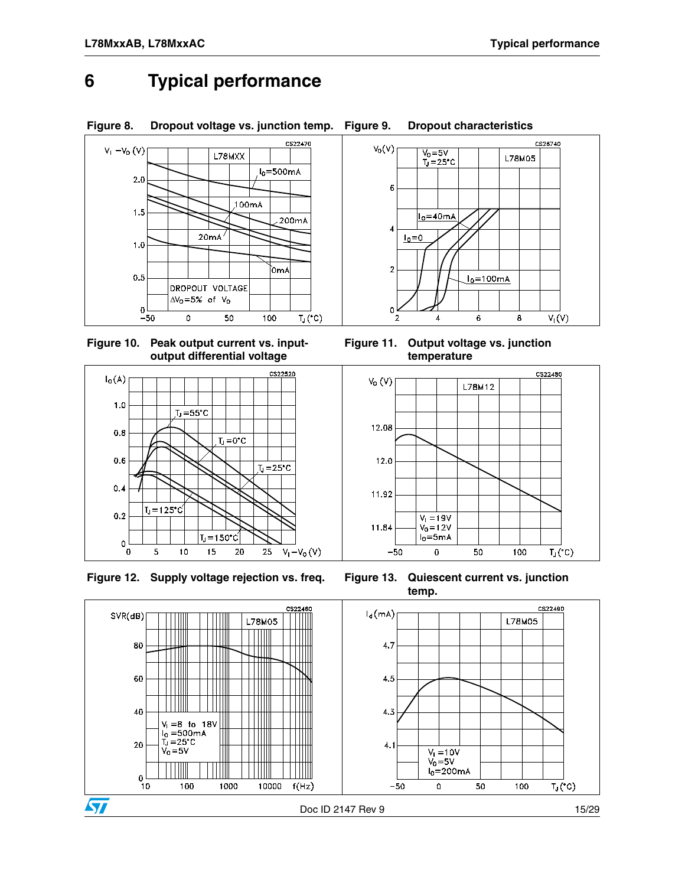### <span id="page-14-1"></span><span id="page-14-0"></span>**6 Typical performance**





 $T_J = 150^{\circ}$ C

 $0.4$ 

 $0.2$ 

 $\mathbf 0$ 

 $T_J = 125^{\circ}$ C

**Figure 12. Supply voltage rejection vs. freq. Figure 13. Quiescent current vs. junction** 



11.92

11.84

 $-50$ 

 $V_1 = 19V$ 

 $V_0 = 12V$  $I_0 = 5mA$ 

 $\mathbf 0$ 

50

100

 $T_J('C)$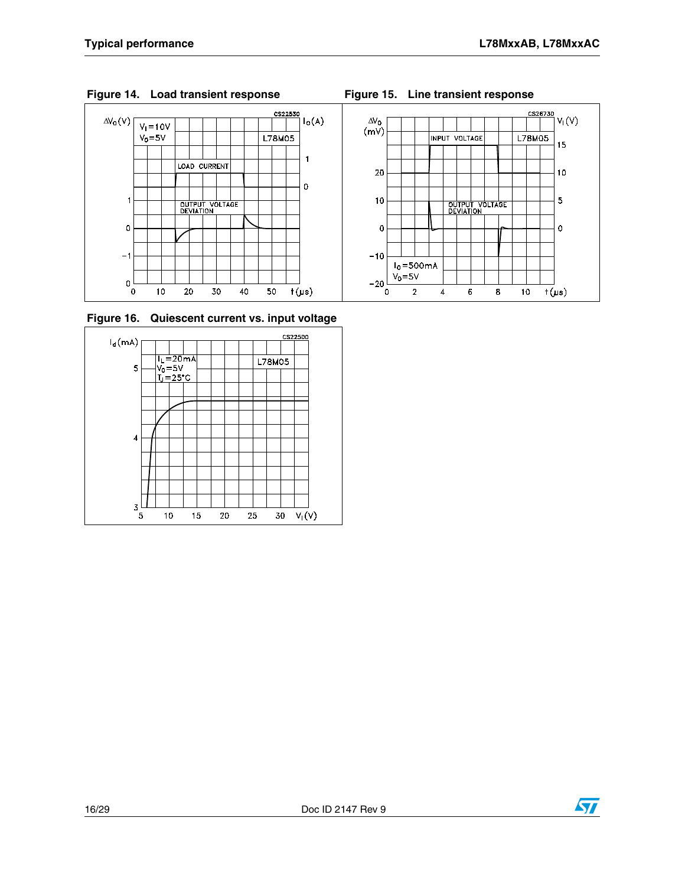



**Figure 16. Quiescent current vs. input voltage**





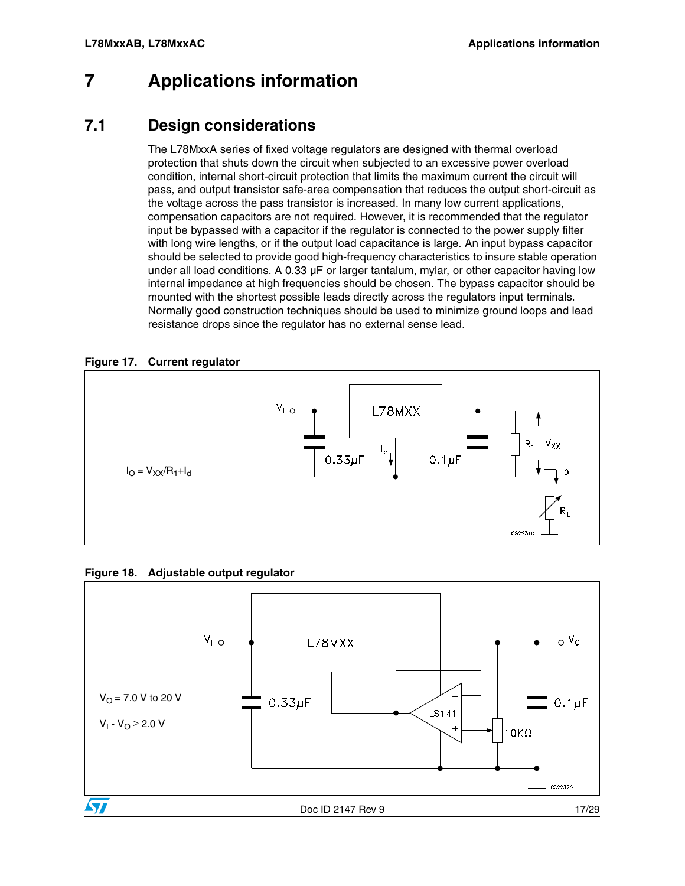### <span id="page-16-0"></span>**7 Applications information**

#### <span id="page-16-1"></span>**7.1 Design considerations**

The L78MxxA series of fixed voltage regulators are designed with thermal overload protection that shuts down the circuit when subjected to an excessive power overload condition, internal short-circuit protection that limits the maximum current the circuit will pass, and output transistor safe-area compensation that reduces the output short-circuit as the voltage across the pass transistor is increased. In many low current applications, compensation capacitors are not required. However, it is recommended that the regulator input be bypassed with a capacitor if the regulator is connected to the power supply filter with long wire lengths, or if the output load capacitance is large. An input bypass capacitor should be selected to provide good high-frequency characteristics to insure stable operation under all load conditions. A  $0.33 \mu$ F or larger tantalum, mylar, or other capacitor having low internal impedance at high frequencies should be chosen. The bypass capacitor should be mounted with the shortest possible leads directly across the regulators input terminals. Normally good construction techniques should be used to minimize ground loops and lead resistance drops since the regulator has no external sense lead.

#### **Figure 17. Current regulator**





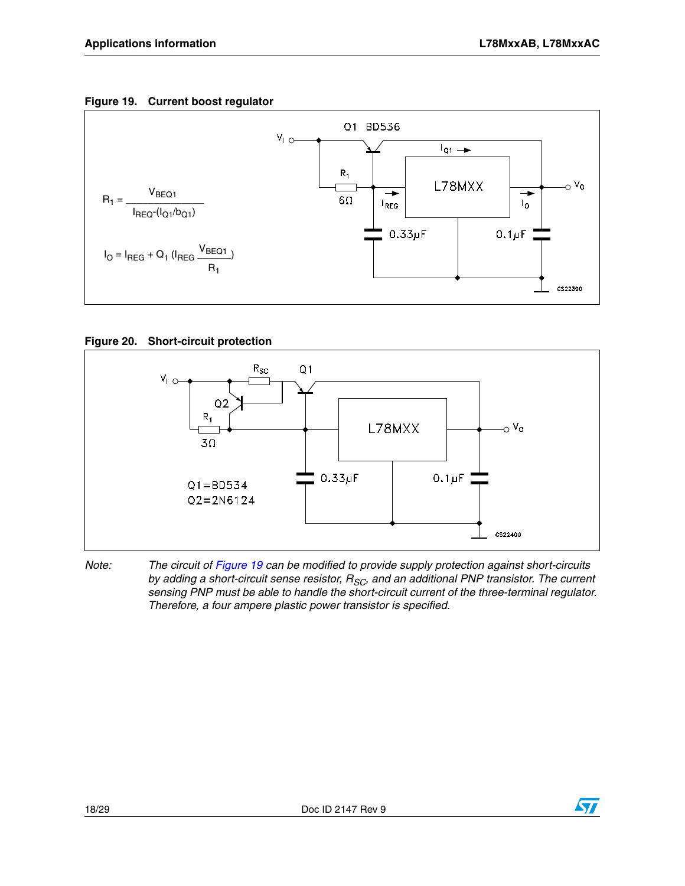#### **Figure 19. Current boost regulator**



#### **Figure 20. Short-circuit protection**



*Note: The circuit of Figure 19 can be modified to provide supply protection against short-circuits*  by adding a short-circuit sense resistor, R<sub>SC</sub>, and an additional PNP transistor. The current *sensing PNP must be able to handle the short-circuit current of the three-terminal regulator. Therefore, a four ampere plastic power transistor is specified.*

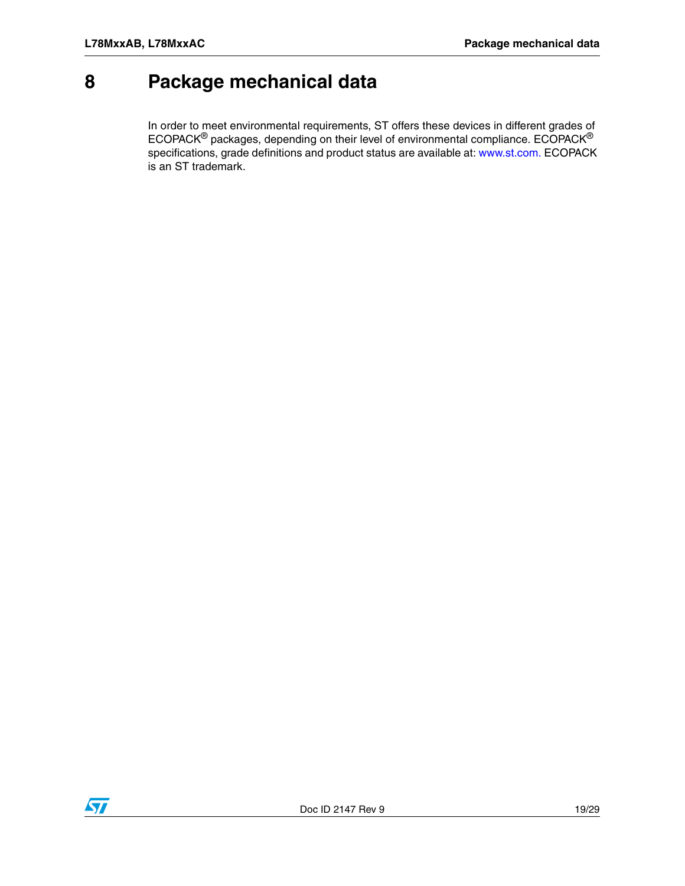### <span id="page-18-0"></span>**8 Package mechanical data**

In order to meet environmental requirements, ST offers these devices in different grades of ECOPACK $^{\circledR}$  packages, depending on their level of environmental compliance. ECOPACK $^{\circledR}$ specifications, grade definitions and product status are available at: www.st.com. ECOPACK is an ST trademark.

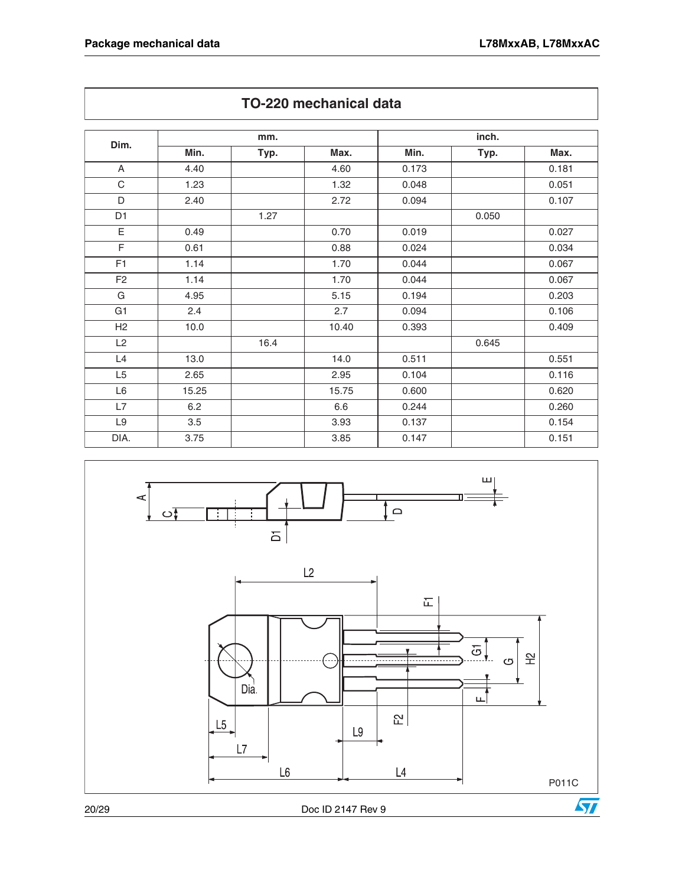|                |       | mm.  |       |       | inch. |       |
|----------------|-------|------|-------|-------|-------|-------|
| Dim.           | Min.  | Typ. | Max.  | Min.  | Typ.  | Max.  |
| A              | 4.40  |      | 4.60  | 0.173 |       | 0.181 |
| C              | 1.23  |      | 1.32  | 0.048 |       | 0.051 |
| D              | 2.40  |      | 2.72  | 0.094 |       | 0.107 |
| D <sub>1</sub> |       | 1.27 |       |       | 0.050 |       |
| Ε              | 0.49  |      | 0.70  | 0.019 |       | 0.027 |
| F              | 0.61  |      | 0.88  | 0.024 |       | 0.034 |
| F <sub>1</sub> | 1.14  |      | 1.70  | 0.044 |       | 0.067 |
| F <sub>2</sub> | 1.14  |      | 1.70  | 0.044 |       | 0.067 |
| G              | 4.95  |      | 5.15  | 0.194 |       | 0.203 |
| G <sub>1</sub> | 2.4   |      | 2.7   | 0.094 |       | 0.106 |
| H2             | 10.0  |      | 10.40 | 0.393 |       | 0.409 |
| L2             |       | 16.4 |       |       | 0.645 |       |
| L4             | 13.0  |      | 14.0  | 0.511 |       | 0.551 |
| L5             | 2.65  |      | 2.95  | 0.104 |       | 0.116 |
| L6             | 15.25 |      | 15.75 | 0.600 |       | 0.620 |
| L7             | 6.2   |      | 6.6   | 0.244 |       | 0.260 |
| L <sub>9</sub> | 3.5   |      | 3.93  | 0.137 |       | 0.154 |
| DIA.           | 3.75  |      | 3.85  | 0.147 |       | 0.151 |



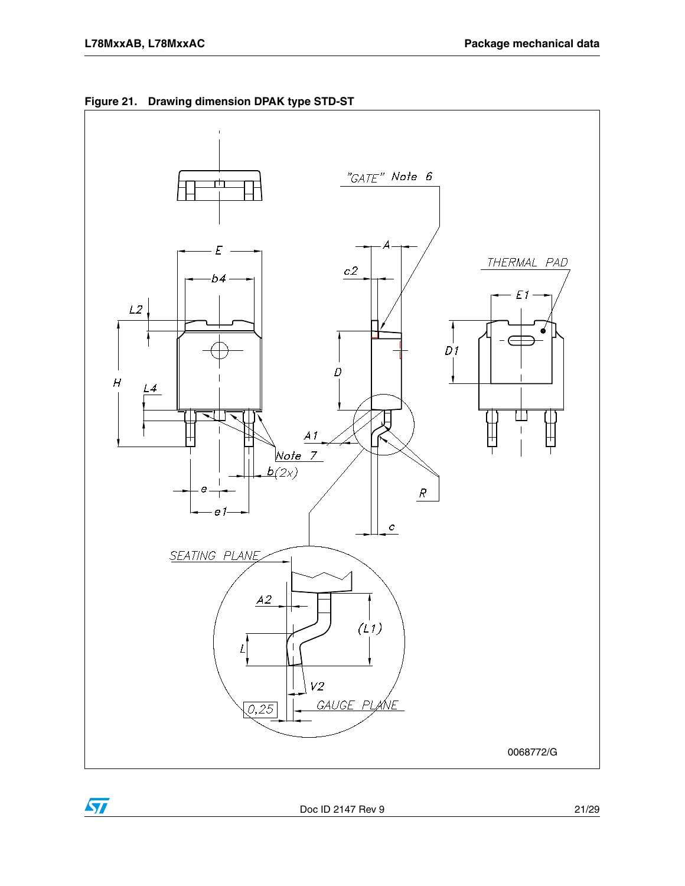$\sqrt{2}$ 



**Figure 21. Drawing dimension DPAK type STD-ST**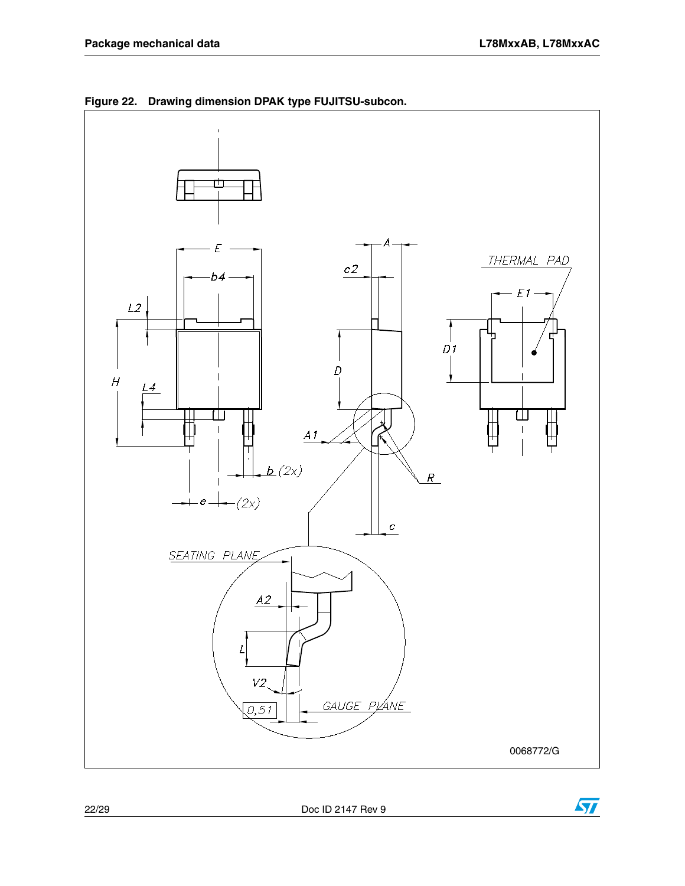





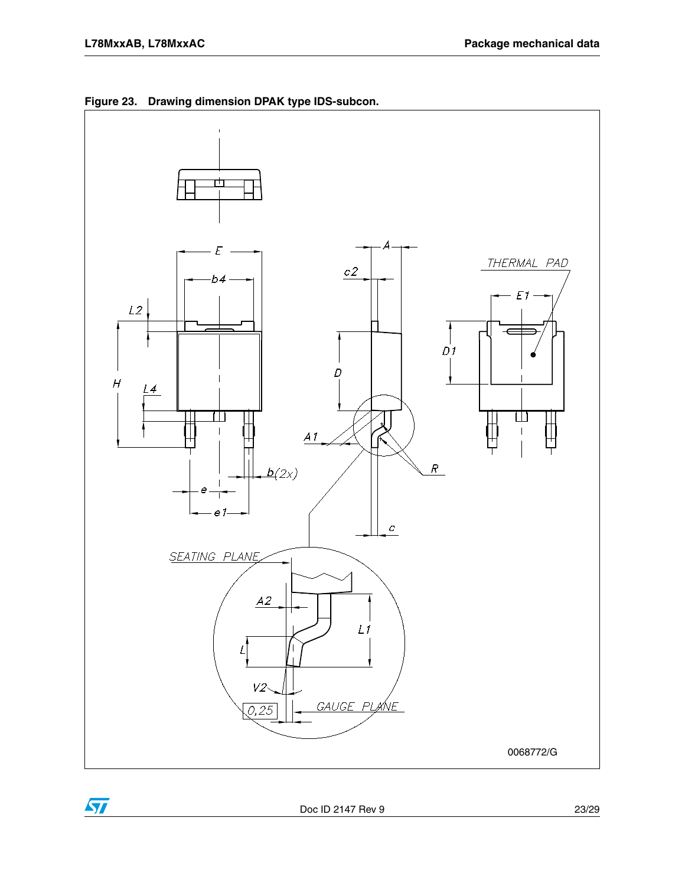$\sqrt{2}$ 



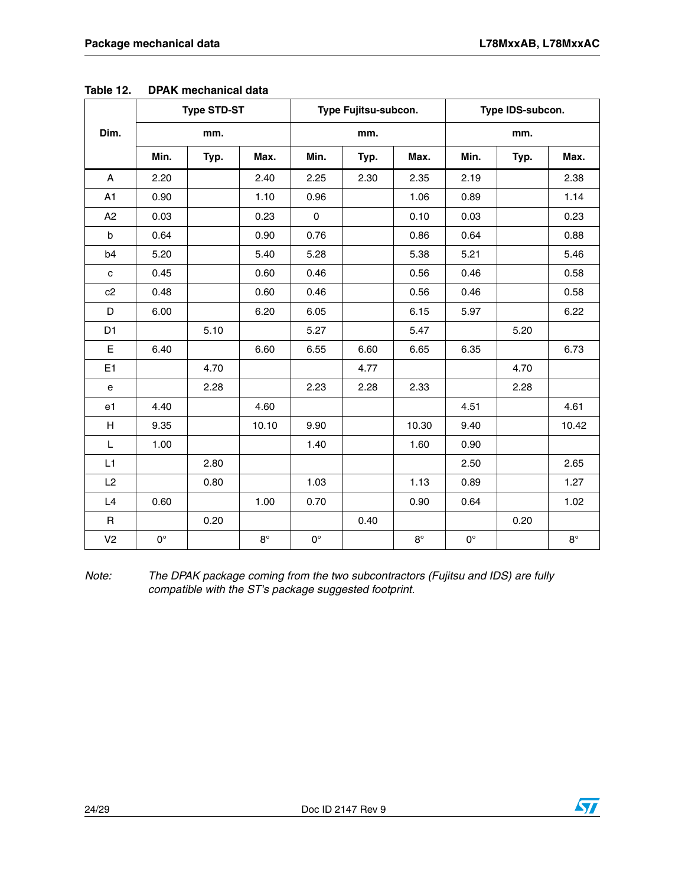|                |             | <b>Type STD-ST</b> |           |             | Type Fujitsu-subcon. |             |             | Type IDS-subcon. |           |
|----------------|-------------|--------------------|-----------|-------------|----------------------|-------------|-------------|------------------|-----------|
| Dim.           |             | mm.                |           |             | mm.                  |             |             | mm.              |           |
|                | Min.        | Typ.               | Max.      | Min.        | Typ.                 | Max.        | Min.        | Typ.             | Max.      |
| A              | 2.20        |                    | 2.40      | 2.25        | 2.30                 | 2.35        | 2.19        |                  | 2.38      |
| A1             | 0.90        |                    | 1.10      | 0.96        |                      | 1.06        | 0.89        |                  | 1.14      |
| A2             | 0.03        |                    | 0.23      | $\mathbf 0$ |                      | 0.10        | 0.03        |                  | 0.23      |
| b              | 0.64        |                    | 0.90      | 0.76        |                      | 0.86        | 0.64        |                  | 0.88      |
| b <sub>4</sub> | 5.20        |                    | 5.40      | 5.28        |                      | 5.38        | 5.21        |                  | 5.46      |
| $\mathbf c$    | 0.45        |                    | 0.60      | 0.46        |                      | 0.56        | 0.46        |                  | 0.58      |
| c2             | 0.48        |                    | 0.60      | 0.46        |                      | 0.56        | 0.46        |                  | 0.58      |
| D              | 6.00        |                    | 6.20      | 6.05        |                      | 6.15        | 5.97        |                  | 6.22      |
| D <sub>1</sub> |             | 5.10               |           | 5.27        |                      | 5.47        |             | 5.20             |           |
| $\mathsf E$    | 6.40        |                    | 6.60      | 6.55        | 6.60                 | 6.65        | 6.35        |                  | 6.73      |
| E1             |             | 4.70               |           |             | 4.77                 |             |             | 4.70             |           |
| e              |             | 2.28               |           | 2.23        | 2.28                 | 2.33        |             | 2.28             |           |
| e1             | 4.40        |                    | 4.60      |             |                      |             | 4.51        |                  | 4.61      |
| H              | 9.35        |                    | 10.10     | 9.90        |                      | 10.30       | 9.40        |                  | 10.42     |
| L              | 1.00        |                    |           | 1.40        |                      | 1.60        | 0.90        |                  |           |
| L1             |             | 2.80               |           |             |                      |             | 2.50        |                  | 2.65      |
| L2             |             | 0.80               |           | 1.03        |                      | 1.13        | 0.89        |                  | 1.27      |
| L4             | 0.60        |                    | 1.00      | 0.70        |                      | 0.90        | 0.64        |                  | 1.02      |
| R              |             | 0.20               |           |             | 0.40                 |             |             | 0.20             |           |
| V <sub>2</sub> | $0^{\circ}$ |                    | $8^\circ$ | $0^{\circ}$ |                      | $8^{\circ}$ | $0^{\circ}$ |                  | $8^\circ$ |

|  | Table 12. | <b>DPAK</b> mechanical data |  |
|--|-----------|-----------------------------|--|
|--|-----------|-----------------------------|--|

*Note: The DPAK package coming from the two subcontractors (Fujitsu and IDS) are fully compatible with the ST's package suggested footprint.*

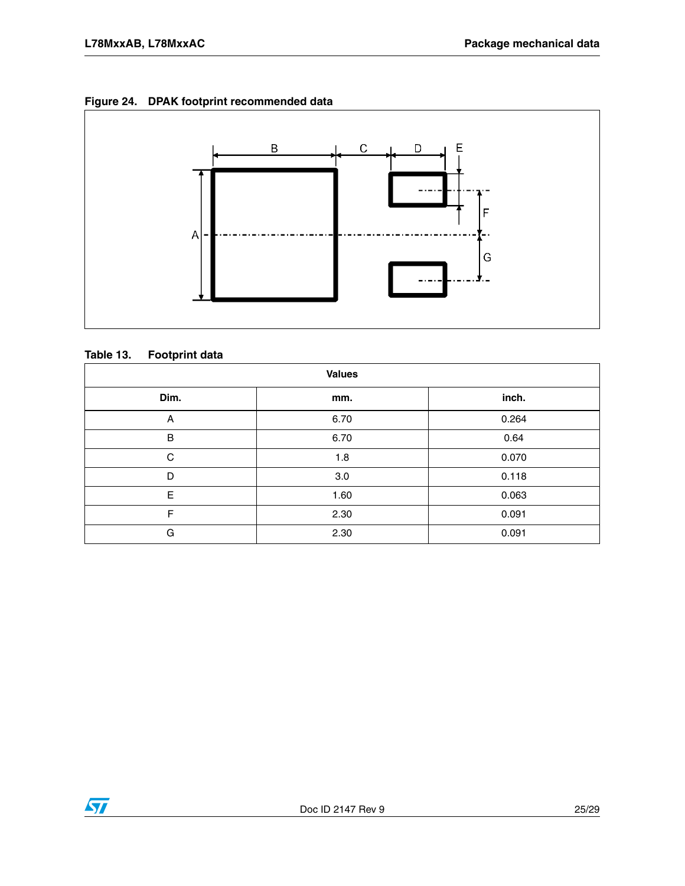#### **Figure 24. DPAK footprint recommended data**



#### **Table 13. Footprint data**

| <b>Values</b> |      |       |  |  |
|---------------|------|-------|--|--|
| Dim.          | mm.  | inch. |  |  |
| Α             | 6.70 | 0.264 |  |  |
| $\sf B$       | 6.70 | 0.64  |  |  |
| C             | 1.8  | 0.070 |  |  |
| D             | 3.0  | 0.118 |  |  |
| E             | 1.60 | 0.063 |  |  |
| F             | 2.30 | 0.091 |  |  |
| G             | 2.30 | 0.091 |  |  |

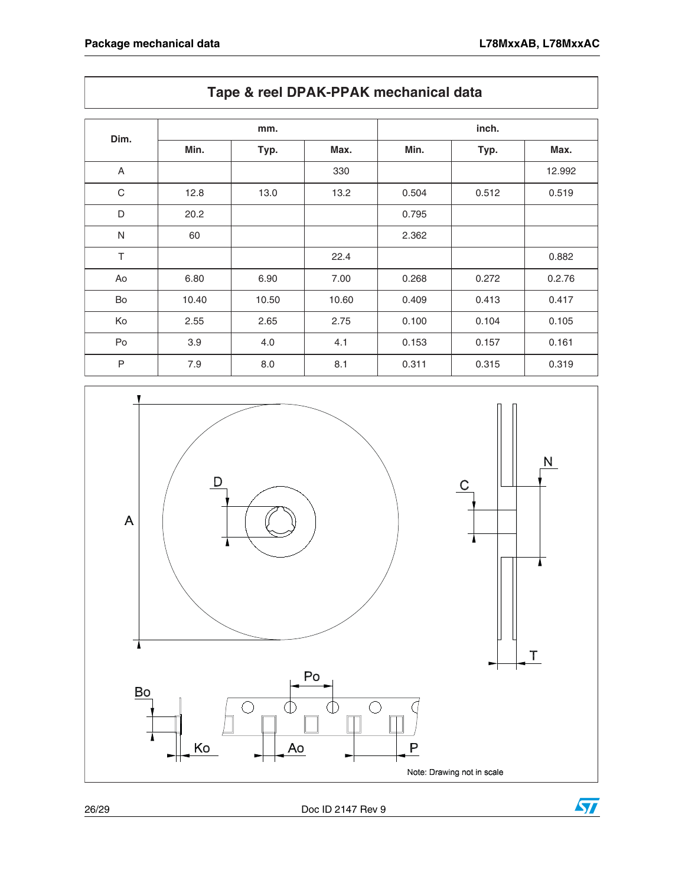|              |       | mm.   |       |       | inch. |        |
|--------------|-------|-------|-------|-------|-------|--------|
| Dim.         | Min.  | Typ.  | Max.  | Min.  | Typ.  | Max.   |
| A            |       |       | 330   |       |       | 12.992 |
| C            | 12.8  | 13.0  | 13.2  | 0.504 | 0.512 | 0.519  |
| D            | 20.2  |       |       | 0.795 |       |        |
| $\mathsf{N}$ | 60    |       |       | 2.362 |       |        |
| $\top$       |       |       | 22.4  |       |       | 0.882  |
| Ao           | 6.80  | 6.90  | 7.00  | 0.268 | 0.272 | 0.2.76 |
| Bo           | 10.40 | 10.50 | 10.60 | 0.409 | 0.413 | 0.417  |
| Ko           | 2.55  | 2.65  | 2.75  | 0.100 | 0.104 | 0.105  |
| Po           | 3.9   | 4.0   | 4.1   | 0.153 | 0.157 | 0.161  |
| $\mathsf{P}$ | 7.9   | 8.0   | 8.1   | 0.311 | 0.315 | 0.319  |



#### **Tape & reel DPAK-PPAK mechanical data**

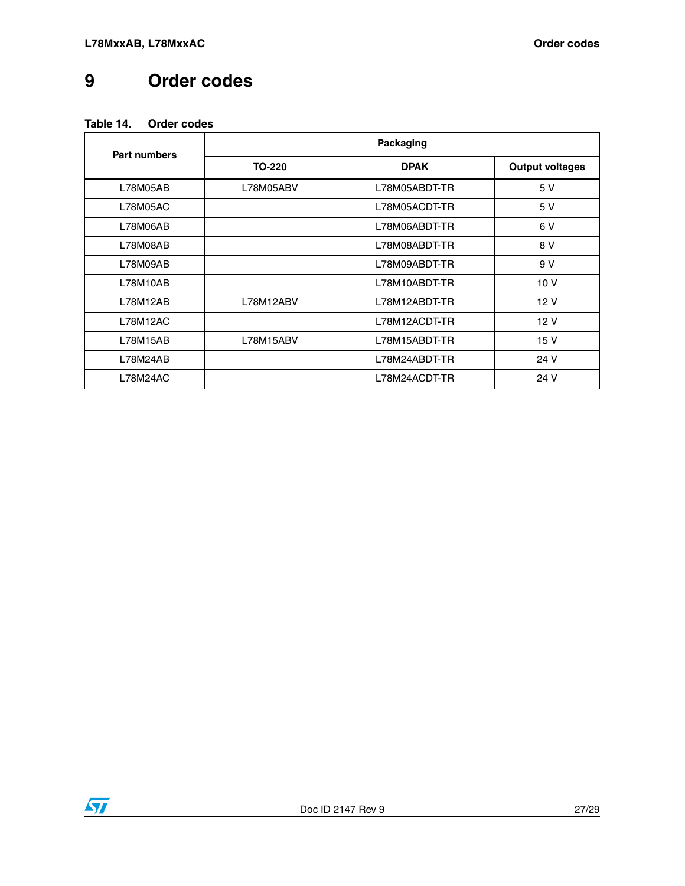## <span id="page-26-0"></span>**9 Order codes**

<span id="page-26-1"></span>

| <b>Part numbers</b> |           | Packaging     |                        |
|---------------------|-----------|---------------|------------------------|
|                     | TO-220    | <b>DPAK</b>   | <b>Output voltages</b> |
| L78M05AB            | L78M05ABV | L78M05ABDT-TR | 5 V                    |
| L78M05AC            |           | L78M05ACDT-TR | 5 V                    |
| L78M06AB            |           | L78M06ABDT-TR | 6 V                    |
| L78M08AB            |           | L78M08ABDT-TR | 8 V                    |
| L78M09AB            |           | L78M09ABDT-TR | 9 V                    |
| L78M10AB            |           | L78M10ABDT-TR | 10 <sub>V</sub>        |
| L78M12AB            | L78M12ABV | L78M12ABDT-TR | 12 V                   |
| L78M12AC            |           | L78M12ACDT-TR | 12 V                   |
| L78M15AB            | L78M15ABV | L78M15ABDT-TR | 15 V                   |
| L78M24AB            |           | L78M24ABDT-TR | 24 V                   |
| L78M24AC            |           | L78M24ACDT-TR | 24 V                   |

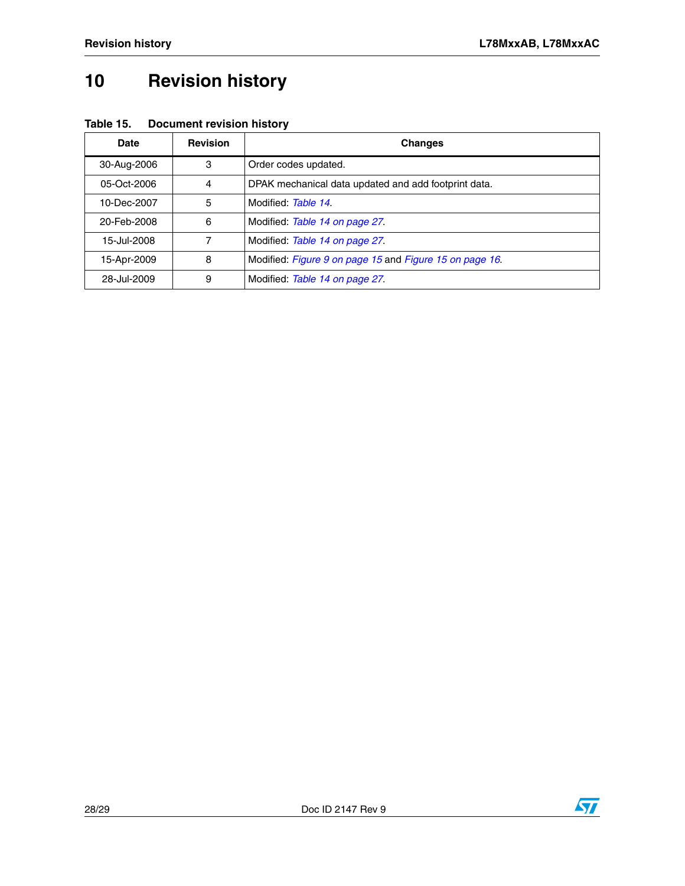# <span id="page-27-0"></span>**10 Revision history**

| Date        | <b>Revision</b> | <b>Changes</b>                                          |
|-------------|-----------------|---------------------------------------------------------|
| 30-Aug-2006 | 3               | Order codes updated.                                    |
| 05-Oct-2006 | 4               | DPAK mechanical data updated and add footprint data.    |
| 10-Dec-2007 | 5               | Modified: Table 14.                                     |
| 20-Feb-2008 | 6               | Modified: Table 14 on page 27.                          |
| 15-Jul-2008 | 7               | Modified: Table 14 on page 27.                          |
| 15-Apr-2009 | 8               | Modified: Figure 9 on page 15 and Figure 15 on page 16. |
| 28-Jul-2009 | 9               | Modified: Table 14 on page 27.                          |

**Table 15. Document revision history**